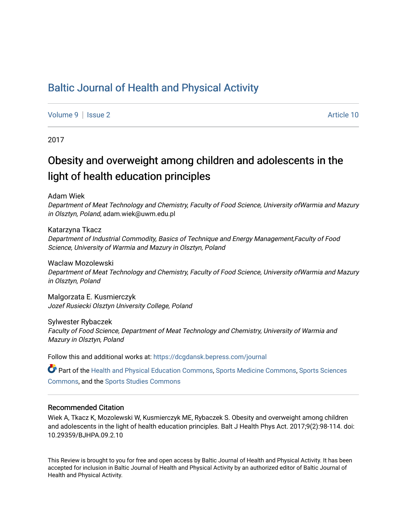# [Baltic Journal of Health and Physical Activity](https://dcgdansk.bepress.com/journal)

[Volume 9](https://dcgdansk.bepress.com/journal/vol9) | [Issue 2](https://dcgdansk.bepress.com/journal/vol9/iss2) Article 10

2017

# Obesity and overweight among children and adolescents in the light of health education principles

Adam Wiek

Department of Meat Technology and Chemistry, Faculty of Food Science, University ofWarmia and Mazury in Olsztyn, Poland, adam.wiek@uwm.edu.pl

Katarzyna Tkacz Department of Industrial Commodity, Basics of Technique and Energy Management,Faculty of Food Science, University of Warmia and Mazury in Olsztyn, Poland

Waclaw Mozolewski Department of Meat Technology and Chemistry, Faculty of Food Science, University ofWarmia and Mazury in Olsztyn, Poland

Malgorzata E. Kusmierczyk Jozef Rusiecki Olsztyn University College, Poland

Sylwester Rybaczek Faculty of Food Science, Department of Meat Technology and Chemistry, University of Warmia and Mazury in Olsztyn, Poland

Follow this and additional works at: [https://dcgdansk.bepress.com/journal](https://dcgdansk.bepress.com/journal?utm_source=dcgdansk.bepress.com%2Fjournal%2Fvol9%2Fiss2%2F10&utm_medium=PDF&utm_campaign=PDFCoverPages)

Part of the [Health and Physical Education Commons](http://network.bepress.com/hgg/discipline/1327?utm_source=dcgdansk.bepress.com%2Fjournal%2Fvol9%2Fiss2%2F10&utm_medium=PDF&utm_campaign=PDFCoverPages), [Sports Medicine Commons,](http://network.bepress.com/hgg/discipline/1331?utm_source=dcgdansk.bepress.com%2Fjournal%2Fvol9%2Fiss2%2F10&utm_medium=PDF&utm_campaign=PDFCoverPages) [Sports Sciences](http://network.bepress.com/hgg/discipline/759?utm_source=dcgdansk.bepress.com%2Fjournal%2Fvol9%2Fiss2%2F10&utm_medium=PDF&utm_campaign=PDFCoverPages) [Commons](http://network.bepress.com/hgg/discipline/759?utm_source=dcgdansk.bepress.com%2Fjournal%2Fvol9%2Fiss2%2F10&utm_medium=PDF&utm_campaign=PDFCoverPages), and the [Sports Studies Commons](http://network.bepress.com/hgg/discipline/1198?utm_source=dcgdansk.bepress.com%2Fjournal%2Fvol9%2Fiss2%2F10&utm_medium=PDF&utm_campaign=PDFCoverPages) 

### Recommended Citation

Wiek A, Tkacz K, Mozolewski W, Kusmierczyk ME, Rybaczek S. Obesity and overweight among children and adolescents in the light of health education principles. Balt J Health Phys Act. 2017;9(2):98-114. doi: 10.29359/BJHPA.09.2.10

This Review is brought to you for free and open access by Baltic Journal of Health and Physical Activity. It has been accepted for inclusion in Baltic Journal of Health and Physical Activity by an authorized editor of Baltic Journal of Health and Physical Activity.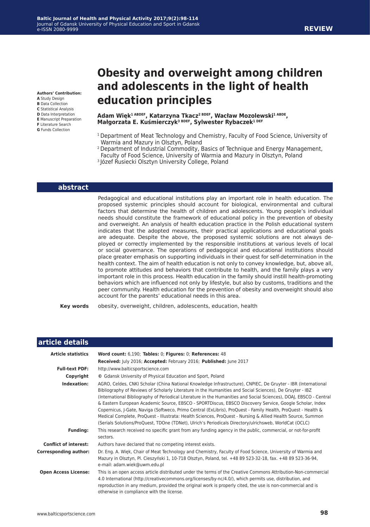# **Obesity and overweight among children and adolescents in the light of health education principles**

#### **Adam Więk1 ABDEF, Katarzyna Tkacz2 BDEF, Wacław Mozolewski1 ABDE, Małgorzata E. Kuśmierczyk3 BDEF, Sylwester Rybaczek1 DEF**

- 1 Department of Meat Technology and Chemistry, Faculty of Food Science, University of Warmia and Mazury in Olsztyn, Poland
- <sup>2</sup> Department of Industrial Commodity, Basics of Technique and Energy Management,
- Faculty of Food Science, University of Warmia and Mazury in Olsztyn, Poland
- 3 Józef Rusiecki Olsztyn University College, Poland

#### **abstract**

Pedagogical and educational institutions play an important role in health education. The proposed systemic principles should account for biological, environmental and cultural factors that determine the health of children and adolescents. Young people's individual needs should constitute the framework of educational policy in the prevention of obesity and overweight. An analysis of health education practice in the Polish educational system indicates that the adopted measures, their practical applications and educational goals are adequate. Despite the above, the proposed systemic solutions are not always deployed or correctly implemented by the responsible institutions at various levels of local or social governance. The operations of pedagogical and educational institutions should place greater emphasis on supporting individuals in their quest for self-determination in the health context. The aim of health education is not only to convey knowledge, but, above all, to promote attitudes and behaviors that contribute to health, and the family plays a very important role in this process. Health education in the family should instill health-promoting behaviors which are influenced not only by lifestyle, but also by customs, traditions and the peer community. Health education for the prevention of obesity and overweight should also account for the parents' educational needs in this area.

**Key words** obesity, overweight, children, adolescents, education, health

| article details              |                                                                                                                                                                                                                                                                                                                                                                                                                                                                                                                                                                                                                                                                                                                                                                                                      |
|------------------------------|------------------------------------------------------------------------------------------------------------------------------------------------------------------------------------------------------------------------------------------------------------------------------------------------------------------------------------------------------------------------------------------------------------------------------------------------------------------------------------------------------------------------------------------------------------------------------------------------------------------------------------------------------------------------------------------------------------------------------------------------------------------------------------------------------|
| <b>Article statistics</b>    | Word count: 6,190; Tables: 0; Figures: 0; References: 48                                                                                                                                                                                                                                                                                                                                                                                                                                                                                                                                                                                                                                                                                                                                             |
|                              | Received: July 2016; Accepted: February 2016; Published: June 2017                                                                                                                                                                                                                                                                                                                                                                                                                                                                                                                                                                                                                                                                                                                                   |
| <b>Full-text PDF:</b>        | http://www.balticsportscience.com                                                                                                                                                                                                                                                                                                                                                                                                                                                                                                                                                                                                                                                                                                                                                                    |
| Copyright                    | © Gdansk University of Physical Education and Sport, Poland                                                                                                                                                                                                                                                                                                                                                                                                                                                                                                                                                                                                                                                                                                                                          |
| Indexation:                  | AGRO, Celdes, CNKI Scholar (China National Knowledge Infrastructure), CNPIEC, De Gruyter - IBR (International<br>Bibliography of Reviews of Scholarly Literature in the Humanities and Social Sciences), De Gruyter - IBZ<br>(International Bibliography of Periodical Literature in the Humanities and Social Sciences), DOAJ, EBSCO - Central<br>& Eastern European Academic Source, EBSCO - SPORTDiscus, EBSCO Discovery Service, Google Scholar, Index<br>Copernicus, J-Gate, Naviga (Softweco, Primo Central (ExLibris), ProQuest - Family Health, ProQuest - Health &<br>Medical Complete, ProQuest - Illustrata: Health Sciences, ProQuest - Nursing & Allied Health Source, Summon<br>(Serials Solutions/ProQuest, TDOne (TDNet), Ulrich's Periodicals Directory/ulrichsweb, WorldCat (OCLC) |
| <b>Funding:</b>              | This research received no specific grant from any funding agency in the public, commercial, or not-for-profit<br>sectors.                                                                                                                                                                                                                                                                                                                                                                                                                                                                                                                                                                                                                                                                            |
| <b>Conflict of interest:</b> | Authors have declared that no competing interest exists.                                                                                                                                                                                                                                                                                                                                                                                                                                                                                                                                                                                                                                                                                                                                             |
| <b>Corresponding author:</b> | Dr. Eng. A. Więk, Chair of Meat Technology and Chemistry, Faculty of Food Science, University of Warmia and<br>Mazury in Olsztyn, Pl. Cieszyński 1, 10-718 Olsztyn, Poland, tel. +48 89 523-32-18, fax. +48 89 523-36-94,<br>e-mail: adam.wiek@uwm.edu.pl                                                                                                                                                                                                                                                                                                                                                                                                                                                                                                                                            |
| <b>Open Access License:</b>  | This is an open access article distributed under the terms of the Creative Commons Attribution-Non-commercial<br>4.0 International (http://creativecommons.org/licenses/by-nc/4.0/), which permits use, distribution, and<br>reproduction in any medium, provided the original work is properly cited, the use is non-commercial and is<br>otherwise in compliance with the license.                                                                                                                                                                                                                                                                                                                                                                                                                 |

- **Authors' Contribution: A** Study Design
- **B** Data Collection
- **C** Statistical Analysis
- **D** Data Interpretation **E** Manuscript Preparation
- **F** Literature Search
- **G** Funds Collection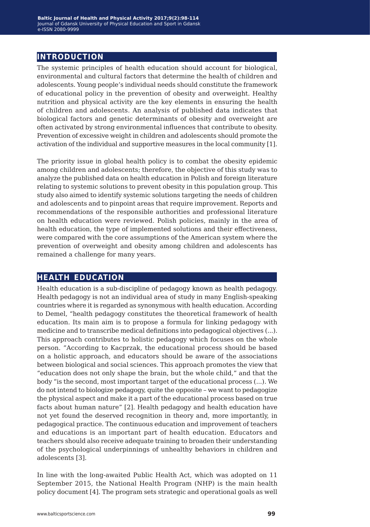# **introduction**

The systemic principles of health education should account for biological, environmental and cultural factors that determine the health of children and adolescents. Young people's individual needs should constitute the framework of educational policy in the prevention of obesity and overweight. Healthy nutrition and physical activity are the key elements in ensuring the health of children and adolescents. An analysis of published data indicates that biological factors and genetic determinants of obesity and overweight are often activated by strong environmental influences that contribute to obesity. Prevention of excessive weight in children and adolescents should promote the activation of the individual and supportive measures in the local community [1].

The priority issue in global health policy is to combat the obesity epidemic among children and adolescents; therefore, the objective of this study was to analyze the published data on health education in Polish and foreign literature relating to systemic solutions to prevent obesity in this population group. This study also aimed to identify systemic solutions targeting the needs of children and adolescents and to pinpoint areas that require improvement. Reports and recommendations of the responsible authorities and professional literature on health education were reviewed. Polish policies, mainly in the area of health education, the type of implemented solutions and their effectiveness, were compared with the core assumptions of the American system where the prevention of overweight and obesity among children and adolescents has remained a challenge for many years.

## **health education**

Health education is a sub-discipline of pedagogy known as health pedagogy. Health pedagogy is not an individual area of study in many English-speaking countries where it is regarded as synonymous with health education. According to Demel, "health pedagogy constitutes the theoretical framework of health education. Its main aim is to propose a formula for linking pedagogy with medicine and to transcribe medical definitions into pedagogical objectives (...). This approach contributes to holistic pedagogy which focuses on the whole person. "According to Kacprzak, the educational process should be based on a holistic approach, and educators should be aware of the associations between biological and social sciences. This approach promotes the view that "education does not only shape the brain, but the whole child," and that the body "is the second, most important target of the educational process (...). We do not intend to biologize pedagogy, quite the opposite – we want to pedagogize the physical aspect and make it a part of the educational process based on true facts about human nature" [2]. Health pedagogy and health education have not yet found the deserved recognition in theory and, more importantly, in pedagogical practice. The continuous education and improvement of teachers and educations is an important part of health education. Educators and teachers should also receive adequate training to broaden their understanding of the psychological underpinnings of unhealthy behaviors in children and adolescents [3].

In line with the long-awaited Public Health Act, which was adopted on 11 September 2015, the National Health Program (NHP) is the main health policy document [4]. The program sets strategic and operational goals as well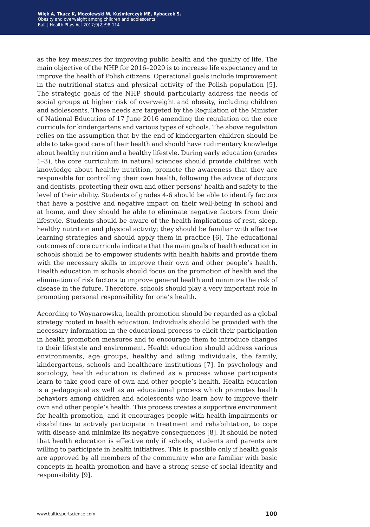as the key measures for improving public health and the quality of life. The main objective of the NHP for 2016–2020 is to increase life expectancy and to improve the health of Polish citizens. Operational goals include improvement in the nutritional status and physical activity of the Polish population [5]. The strategic goals of the NHP should particularly address the needs of social groups at higher risk of overweight and obesity, including children and adolescents. These needs are targeted by the Regulation of the Minister of National Education of 17 June 2016 amending the regulation on the core curricula for kindergartens and various types of schools. The above regulation relies on the assumption that by the end of kindergarten children should be able to take good care of their health and should have rudimentary knowledge about healthy nutrition and a healthy lifestyle. During early education (grades 1–3), the core curriculum in natural sciences should provide children with knowledge about healthy nutrition, promote the awareness that they are responsible for controlling their own health, following the advice of doctors and dentists, protecting their own and other persons' health and safety to the level of their ability. Students of grades 4-6 should be able to identify factors that have a positive and negative impact on their well-being in school and at home, and they should be able to eliminate negative factors from their lifestyle. Students should be aware of the health implications of rest, sleep, healthy nutrition and physical activity; they should be familiar with effective learning strategies and should apply them in practice [6]. The educational outcomes of core curricula indicate that the main goals of health education in schools should be to empower students with health habits and provide them with the necessary skills to improve their own and other people's health. Health education in schools should focus on the promotion of health and the elimination of risk factors to improve general health and minimize the risk of disease in the future. Therefore, schools should play a very important role in promoting personal responsibility for one's health.

According to Woynarowska, health promotion should be regarded as a global strategy rooted in health education. Individuals should be provided with the necessary information in the educational process to elicit their participation in health promotion measures and to encourage them to introduce changes to their lifestyle and environment. Health education should address various environments, age groups, healthy and ailing individuals, the family, kindergartens, schools and healthcare institutions [7]. In psychology and sociology, health education is defined as a process whose participants learn to take good care of own and other people's health. Health education is a pedagogical as well as an educational process which promotes health behaviors among children and adolescents who learn how to improve their own and other people's health. This process creates a supportive environment for health promotion, and it encourages people with health impairments or disabilities to actively participate in treatment and rehabilitation, to cope with disease and minimize its negative consequences [8]. It should be noted that health education is effective only if schools, students and parents are willing to participate in health initiatives. This is possible only if health goals are approved by all members of the community who are familiar with basic concepts in health promotion and have a strong sense of social identity and responsibility [9].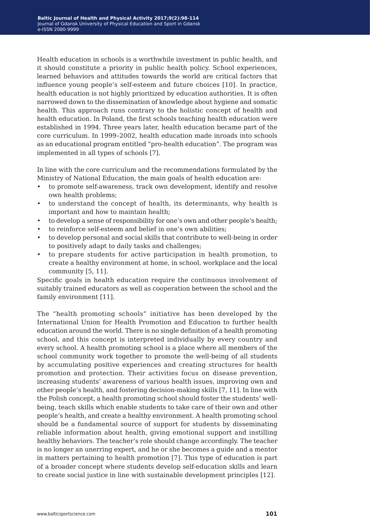Health education in schools is a worthwhile investment in public health, and it should constitute a priority in public health policy. School experiences, learned behaviors and attitudes towards the world are critical factors that influence young people's self-esteem and future choices [10]. In practice, health education is not highly prioritized by education authorities. It is often narrowed down to the dissemination of knowledge about hygiene and somatic health. This approach runs contrary to the holistic concept of health and health education. In Poland, the first schools teaching health education were established in 1994. Three years later, health education became part of the core curriculum. In 1999–2002, health education made inroads into schools as an educational program entitled "pro-health education". The program was implemented in all types of schools [7].

In line with the core curriculum and the recommendations formulated by the Ministry of National Education, the main goals of health education are:

- to promote self-awareness, track own development, identify and resolve own health problems;
- to understand the concept of health, its determinants, why health is important and how to maintain health;
- to develop a sense of responsibility for one's own and other people's health;
- to reinforce self-esteem and belief in one's own abilities;
- to develop personal and social skills that contribute to well-being in order to positively adapt to daily tasks and challenges;
- to prepare students for active participation in health promotion, to create a healthy environment at home, in school, workplace and the local community [5, 11].

Specific goals in health education require the continuous involvement of suitably trained educators as well as cooperation between the school and the family environment [11].

The "health promoting schools" initiative has been developed by the International Union for Health Promotion and Education to further health education around the world. There is no single definition of a health promoting school, and this concept is interpreted individually by every country and every school. A health promoting school is a place where all members of the school community work together to promote the well-being of all students by accumulating positive experiences and creating structures for health promotion and protection. Their activities focus on disease prevention, increasing students' awareness of various health issues, improving own and other people's health, and fostering decision-making skills [7, 11]. In line with the Polish concept, a health promoting school should foster the students' wellbeing, teach skills which enable students to take care of their own and other people's health, and create a healthy environment. A health promoting school should be a fundamental source of support for students by disseminating reliable information about health, giving emotional support and instilling healthy behaviors. The teacher's role should change accordingly. The teacher is no longer an unerring expert, and he or she becomes a guide and a mentor in matters pertaining to health promotion [7]. This type of education is part of a broader concept where students develop self-education skills and learn to create social justice in line with sustainable development principles [12].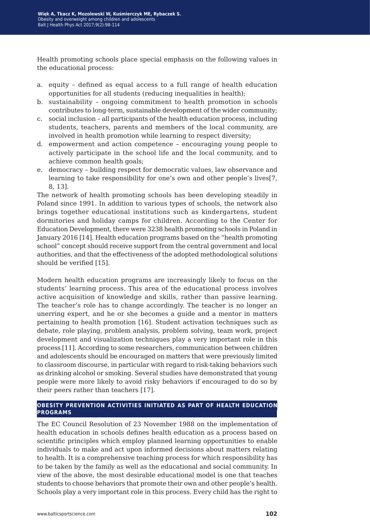Health promoting schools place special emphasis on the following values in the educational process:

- a. equity defined as equal access to a full range of health education opportunities for all students (reducing inequalities in health);
- b. sustainability ongoing commitment to health promotion in schools contributes to long-term, sustainable development of the wider community;
- c. social inclusion all participants of the health education process, including students, teachers, parents and members of the local community, are involved in health promotion while learning to respect diversity;
- d. empowerment and action competence encouraging young people to actively participate in the school life and the local community, and to achieve common health goals;
- e. democracy building respect for democratic values, law observance and learning to take responsibility for one's own and other people's lives[7, 8, 13].

The network of health promoting schools has been developing steadily in Poland since 1991. In addition to various types of schools, the network also brings together educational institutions such as kindergartens, student dormitories and holiday camps for children. According to the Center for Education Development, there were 3238 health promoting schools in Poland in January 2016 [14]. Health education programs based on the "health promoting school" concept should receive support from the central government and local authorities, and that the effectiveness of the adopted methodological solutions should be verified [15].

Modern health education programs are increasingly likely to focus on the students' learning process. This area of the educational process involves active acquisition of knowledge and skills, rather than passive learning. The teacher's role has to change accordingly. The teacher is no longer an unerring expert, and he or she becomes a guide and a mentor in matters pertaining to health promotion [16]. Student activation techniques such as debate, role playing, problem analysis, problem solving, team work, project development and visualization techniques play a very important role in this process [11]. According to some researchers, communication between children and adolescents should be encouraged on matters that were previously limited to classroom discourse, in particular with regard to risk-taking behaviors such as drinking alcohol or smoking. Several studies have demonstrated that young people were more likely to avoid risky behaviors if encouraged to do so by their peers rather than teachers [17].

### **obesity prevention activities initiated as part of health education programs**

The EC Council Resolution of 23 November 1988 on the implementation of health education in schools defines health education as a process based on scientific principles which employ planned learning opportunities to enable individuals to make and act upon informed decisions about matters relating to health. It is a comprehensive teaching process for which responsibility has to be taken by the family as well as the educational and social community. In view of the above, the most desirable educational model is one that teaches students to choose behaviors that promote their own and other people's health. Schools play a very important role in this process. Every child has the right to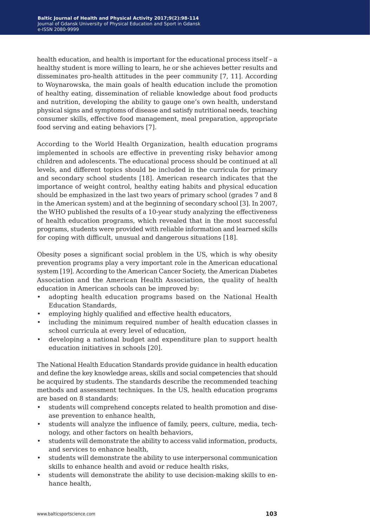health education, and health is important for the educational process itself – a healthy student is more willing to learn, he or she achieves better results and disseminates pro-health attitudes in the peer community [7, 11]. According to Woynarowska, the main goals of health education include the promotion of healthy eating, dissemination of reliable knowledge about food products and nutrition, developing the ability to gauge one's own health, understand physical signs and symptoms of disease and satisfy nutritional needs, teaching consumer skills, effective food management, meal preparation, appropriate food serving and eating behaviors [7].

According to the World Health Organization, health education programs implemented in schools are effective in preventing risky behavior among children and adolescents. The educational process should be continued at all levels, and different topics should be included in the curricula for primary and secondary school students [18]. American research indicates that the importance of weight control, healthy eating habits and physical education should be emphasized in the last two years of primary school (grades 7 and 8 in the American system) and at the beginning of secondary school [3]. In 2007, the WHO published the results of a 10-year study analyzing the effectiveness of health education programs, which revealed that in the most successful programs, students were provided with reliable information and learned skills for coping with difficult, unusual and dangerous situations [18].

Obesity poses a significant social problem in the US, which is why obesity prevention programs play a very important role in the American educational system [19]. According to the American Cancer Society, the American Diabetes Association and the American Health Association, the quality of health education in American schools can be improved by:

- adopting health education programs based on the National Health Education Standards,
- employing highly qualified and effective health educators,
- including the minimum required number of health education classes in school curricula at every level of education,
- developing a national budget and expenditure plan to support health education initiatives in schools [20].

The National Health Education Standards provide guidance in health education and define the key knowledge areas, skills and social competencies that should be acquired by students. The standards describe the recommended teaching methods and assessment techniques. In the US, health education programs are based on 8 standards:

- students will comprehend concepts related to health promotion and disease prevention to enhance health,
- students will analyze the influence of family, peers, culture, media, technology, and other factors on health behaviors,
- students will demonstrate the ability to access valid information, products, and services to enhance health,
- students will demonstrate the ability to use interpersonal communication skills to enhance health and avoid or reduce health risks,
- students will demonstrate the ability to use decision-making skills to enhance health,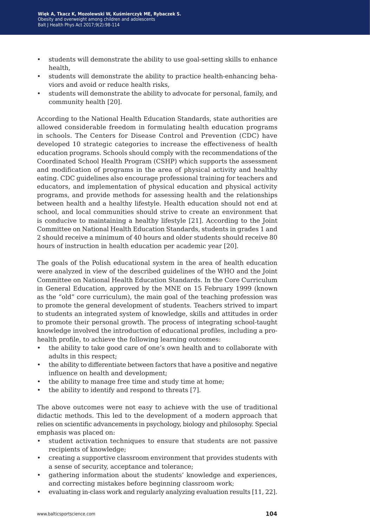- students will demonstrate the ability to use goal-setting skills to enhance health,
- students will demonstrate the ability to practice health-enhancing behaviors and avoid or reduce health risks,
- students will demonstrate the ability to advocate for personal, family, and community health [20].

According to the National Health Education Standards, state authorities are allowed considerable freedom in formulating health education programs in schools. The Centers for Disease Control and Prevention (CDC) have developed 10 strategic categories to increase the effectiveness of health education programs. Schools should comply with the recommendations of the Coordinated School Health Program (CSHP) which supports the assessment and modification of programs in the area of physical activity and healthy eating. CDC guidelines also encourage professional training for teachers and educators, and implementation of physical education and physical activity programs, and provide methods for assessing health and the relationships between health and a healthy lifestyle. Health education should not end at school, and local communities should strive to create an environment that is conducive to maintaining a healthy lifestyle [21]. According to the Joint Committee on National Health Education Standards, students in grades 1 and 2 should receive a minimum of 40 hours and older students should receive 80 hours of instruction in health education per academic year [20].

The goals of the Polish educational system in the area of health education were analyzed in view of the described guidelines of the WHO and the Joint Committee on National Health Education Standards. In the Core Curriculum in General Education, approved by the MNE on 15 February 1999 (known as the "old" core curriculum), the main goal of the teaching profession was to promote the general development of students. Teachers strived to impart to students an integrated system of knowledge, skills and attitudes in order to promote their personal growth. The process of integrating school-taught knowledge involved the introduction of educational profiles, including a prohealth profile, to achieve the following learning outcomes:

- the ability to take good care of one's own health and to collaborate with adults in this respect;
- the ability to differentiate between factors that have a positive and negative influence on health and development;
- the ability to manage free time and study time at home;
- the ability to identify and respond to threats [7].

The above outcomes were not easy to achieve with the use of traditional didactic methods. This led to the development of a modern approach that relies on scientific advancements in psychology, biology and philosophy. Special emphasis was placed on:

- student activation techniques to ensure that students are not passive recipients of knowledge;
- creating a supportive classroom environment that provides students with a sense of security, acceptance and tolerance;
- gathering information about the students' knowledge and experiences, and correcting mistakes before beginning classroom work;
- evaluating in-class work and regularly analyzing evaluation results [11, 22].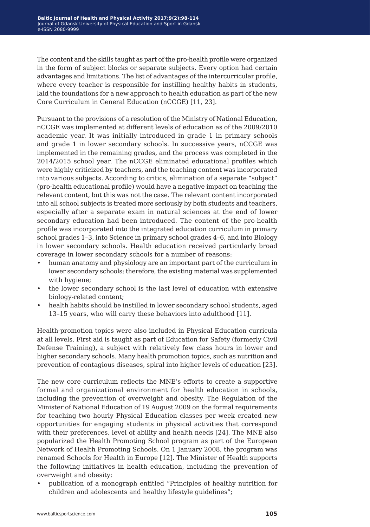The content and the skills taught as part of the pro-health profile were organized in the form of subject blocks or separate subjects. Every option had certain advantages and limitations. The list of advantages of the intercurricular profile, where every teacher is responsible for instilling healthy habits in students, laid the foundations for a new approach to health education as part of the new Core Curriculum in General Education (nCCGE) [11, 23].

Pursuant to the provisions of a resolution of the Ministry of National Education, nCCGE was implemented at different levels of education as of the 2009/2010 academic year. It was initially introduced in grade 1 in primary schools and grade 1 in lower secondary schools. In successive years, nCCGE was implemented in the remaining grades, and the process was completed in the 2014/2015 school year. The nCCGE eliminated educational profiles which were highly criticized by teachers, and the teaching content was incorporated into various subjects. According to critics, elimination of a separate "subject" (pro-health educational profile) would have a negative impact on teaching the relevant content, but this was not the case. The relevant content incorporated into all school subjects is treated more seriously by both students and teachers, especially after a separate exam in natural sciences at the end of lower secondary education had been introduced. The content of the pro-health profile was incorporated into the integrated education curriculum in primary school grades 1–3, into Science in primary school grades 4–6, and into Biology in lower secondary schools. Health education received particularly broad coverage in lower secondary schools for a number of reasons:

- human anatomy and physiology are an important part of the curriculum in lower secondary schools; therefore, the existing material was supplemented with hygiene;
- the lower secondary school is the last level of education with extensive biology-related content;
- health habits should be instilled in lower secondary school students, aged 13–15 years, who will carry these behaviors into adulthood [11].

Health-promotion topics were also included in Physical Education curricula at all levels. First aid is taught as part of Education for Safety (formerly Civil Defense Training), a subject with relatively few class hours in lower and higher secondary schools. Many health promotion topics, such as nutrition and prevention of contagious diseases, spiral into higher levels of education [23].

The new core curriculum reflects the MNE's efforts to create a supportive formal and organizational environment for health education in schools, including the prevention of overweight and obesity. The Regulation of the Minister of National Education of 19 August 2009 on the formal requirements for teaching two hourly Physical Education classes per week created new opportunities for engaging students in physical activities that correspond with their preferences, level of ability and health needs [24]. The MNE also popularized the Health Promoting School program as part of the European Network of Health Promoting Schools. On 1 January 2008, the program was renamed Schools for Health in Europe [12]. The Minister of Health supports the following initiatives in health education, including the prevention of overweight and obesity:

• publication of a monograph entitled "Principles of healthy nutrition for children and adolescents and healthy lifestyle guidelines";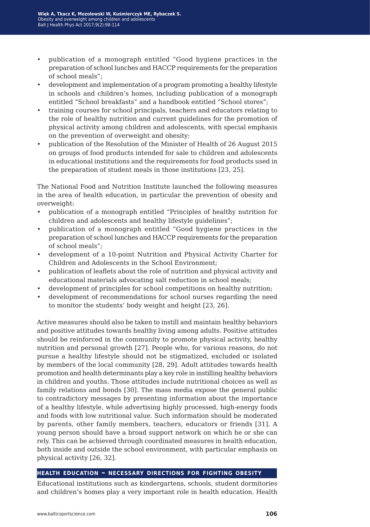- publication of a monograph entitled "Good hygiene practices in the preparation of school lunches and HACCP requirements for the preparation of school meals";
- development and implementation of a program promoting a healthy lifestyle in schools and children's homes, including publication of a monograph entitled "School breakfasts" and a handbook entitled "School stores";
- training courses for school principals, teachers and educators relating to the role of healthy nutrition and current guidelines for the promotion of physical activity among children and adolescents, with special emphasis on the prevention of overweight and obesity;
- publication of the Resolution of the Minister of Health of 26 August 2015 on groups of food products intended for sale to children and adolescents in educational institutions and the requirements for food products used in the preparation of student meals in those institutions [23, 25].

The National Food and Nutrition Institute launched the following measures in the area of health education, in particular the prevention of obesity and overweight:

- publication of a monograph entitled "Principles of healthy nutrition for children and adolescents and healthy lifestyle guidelines";
- publication of a monograph entitled "Good hygiene practices in the preparation of school lunches and HACCP requirements for the preparation of school meals";
- development of a 10-point Nutrition and Physical Activity Charter for Children and Adolescents in the School Environment;
- publication of leaflets about the role of nutrition and physical activity and educational materials advocating salt reduction in school meals;
- development of principles for school competitions on healthy nutrition;
- development of recommendations for school nurses regarding the need to monitor the students' body weight and height [23, 26].

Active measures should also be taken to instill and maintain healthy behaviors and positive attitudes towards healthy living among adults. Positive attitudes should be reinforced in the community to promote physical activity, healthy nutrition and personal growth [27]. People who, for various reasons, do not pursue a healthy lifestyle should not be stigmatized, excluded or isolated by members of the local community [28, 29]. Adult attitudes towards health promotion and health determinants play a key role in instilling healthy behaviors in children and youths. Those attitudes include nutritional choices as well as family relations and bonds [30]. The mass media expose the general public to contradictory messages by presenting information about the importance of a healthy lifestyle, while advertising highly processed, high-energy foods and foods with low nutritional value. Such information should be moderated by parents, other family members, teachers, educators or friends [31]. A young person should have a broad support network on which he or she can rely. This can be achieved through coordinated measures in health education, both inside and outside the school environment, with particular emphasis on physical activity [26, 32].

### **health education – necessary directions for fighting obesity**

Educational institutions such as kindergartens, schools, student dormitories and children's homes play a very important role in health education. Health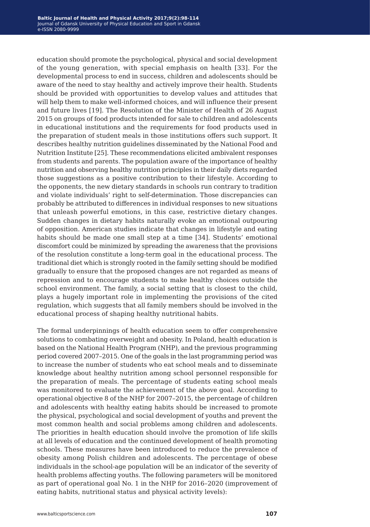education should promote the psychological, physical and social development of the young generation, with special emphasis on health [33]. For the developmental process to end in success, children and adolescents should be aware of the need to stay healthy and actively improve their health. Students should be provided with opportunities to develop values and attitudes that will help them to make well-informed choices, and will influence their present and future lives [19]. The Resolution of the Minister of Health of 26 August 2015 on groups of food products intended for sale to children and adolescents in educational institutions and the requirements for food products used in the preparation of student meals in those institutions offers such support. It describes healthy nutrition guidelines disseminated by the National Food and Nutrition Institute [25]. These recommendations elicited ambivalent responses from students and parents. The population aware of the importance of healthy nutrition and observing healthy nutrition principles in their daily diets regarded those suggestions as a positive contribution to their lifestyle. According to the opponents, the new dietary standards in schools run contrary to tradition and violate individuals' right to self-determination. Those discrepancies can probably be attributed to differences in individual responses to new situations that unleash powerful emotions, in this case, restrictive dietary changes. Sudden changes in dietary habits naturally evoke an emotional outpouring of opposition. American studies indicate that changes in lifestyle and eating habits should be made one small step at a time [34]. Students' emotional discomfort could be minimized by spreading the awareness that the provisions of the resolution constitute a long-term goal in the educational process. The traditional diet which is strongly rooted in the family setting should be modified gradually to ensure that the proposed changes are not regarded as means of repression and to encourage students to make healthy choices outside the school environment. The family, a social setting that is closest to the child, plays a hugely important role in implementing the provisions of the cited regulation, which suggests that all family members should be involved in the educational process of shaping healthy nutritional habits.

The formal underpinnings of health education seem to offer comprehensive solutions to combating overweight and obesity. In Poland, health education is based on the National Health Program (NHP), and the previous programming period covered 2007–2015. One of the goals in the last programming period was to increase the number of students who eat school meals and to disseminate knowledge about healthy nutrition among school personnel responsible for the preparation of meals. The percentage of students eating school meals was monitored to evaluate the achievement of the above goal. According to operational objective 8 of the NHP for 2007–2015, the percentage of children and adolescents with healthy eating habits should be increased to promote the physical, psychological and social development of youths and prevent the most common health and social problems among children and adolescents. The priorities in health education should involve the promotion of life skills at all levels of education and the continued development of health promoting schools. These measures have been introduced to reduce the prevalence of obesity among Polish children and adolescents. The percentage of obese individuals in the school-age population will be an indicator of the severity of health problems affecting youths. The following parameters will be monitored as part of operational goal No. 1 in the NHP for 2016–2020 (improvement of eating habits, nutritional status and physical activity levels):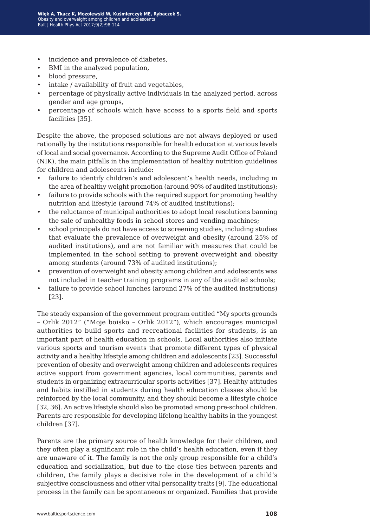- incidence and prevalence of diabetes,
- BMI in the analyzed population,
- blood pressure,
- intake / availability of fruit and vegetables,
- percentage of physically active individuals in the analyzed period, across gender and age groups,
- percentage of schools which have access to a sports field and sports facilities [35].

Despite the above, the proposed solutions are not always deployed or used rationally by the institutions responsible for health education at various levels of local and social governance. According to the Supreme Audit Office of Poland (NIK), the main pitfalls in the implementation of healthy nutrition guidelines for children and adolescents include:

- failure to identify children's and adolescent's health needs, including in the area of healthy weight promotion (around 90% of audited institutions);
- failure to provide schools with the required support for promoting healthy nutrition and lifestyle (around 74% of audited institutions);
- the reluctance of municipal authorities to adopt local resolutions banning the sale of unhealthy foods in school stores and vending machines;
- school principals do not have access to screening studies, including studies that evaluate the prevalence of overweight and obesity (around 25% of audited institutions), and are not familiar with measures that could be implemented in the school setting to prevent overweight and obesity among students (around 73% of audited institutions);
- prevention of overweight and obesity among children and adolescents was not included in teacher training programs in any of the audited schools;
- failure to provide school lunches (around 27% of the audited institutions) [23].

The steady expansion of the government program entitled "My sports grounds – Orlik 2012" ("Moje boisko – Orlik 2012"), which encourages municipal authorities to build sports and recreational facilities for students, is an important part of health education in schools. Local authorities also initiate various sports and tourism events that promote different types of physical activity and a healthy lifestyle among children and adolescents [23]. Successful prevention of obesity and overweight among children and adolescents requires active support from government agencies, local communities, parents and students in organizing extracurricular sports activities [37]. Healthy attitudes and habits instilled in students during health education classes should be reinforced by the local community, and they should become a lifestyle choice [32, 36]. An active lifestyle should also be promoted among pre-school children. Parents are responsible for developing lifelong healthy habits in the youngest children [37].

Parents are the primary source of health knowledge for their children, and they often play a significant role in the child's health education, even if they are unaware of it. The family is not the only group responsible for a child's education and socialization, but due to the close ties between parents and children, the family plays a decisive role in the development of a child's subjective consciousness and other vital personality traits [9]. The educational process in the family can be spontaneous or organized. Families that provide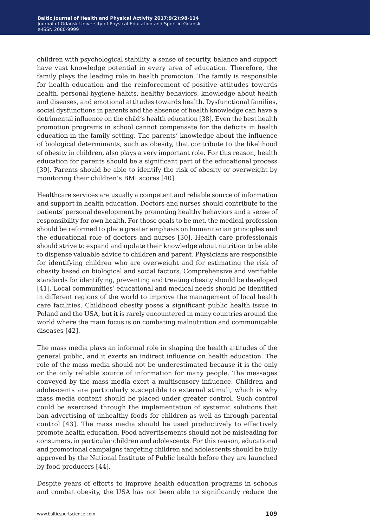children with psychological stability, a sense of security, balance and support have vast knowledge potential in every area of education. Therefore, the family plays the leading role in health promotion. The family is responsible for health education and the reinforcement of positive attitudes towards health, personal hygiene habits, healthy behaviors, knowledge about health and diseases, and emotional attitudes towards health. Dysfunctional families, social dysfunctions in parents and the absence of health knowledge can have a detrimental influence on the child's health education [38]. Even the best health promotion programs in school cannot compensate for the deficits in health education in the family setting. The parents' knowledge about the influence of biological determinants, such as obesity, that contribute to the likelihood of obesity in children, also plays a very important role. For this reason, health education for parents should be a significant part of the educational process [39]. Parents should be able to identify the risk of obesity or overweight by monitoring their children's BMI scores [40].

Healthcare services are usually a competent and reliable source of information and support in health education. Doctors and nurses should contribute to the patients' personal development by promoting healthy behaviors and a sense of responsibility for own health. For those goals to be met, the medical profession should be reformed to place greater emphasis on humanitarian principles and the educational role of doctors and nurses [30]. Health care professionals should strive to expand and update their knowledge about nutrition to be able to dispense valuable advice to children and parent. Physicians are responsible for identifying children who are overweight and for estimating the risk of obesity based on biological and social factors. Comprehensive and verifiable standards for identifying, preventing and treating obesity should be developed [41]. Local communities' educational and medical needs should be identified in different regions of the world to improve the management of local health care facilities. Childhood obesity poses a significant public health issue in Poland and the USA, but it is rarely encountered in many countries around the world where the main focus is on combating malnutrition and communicable diseases [42].

The mass media plays an informal role in shaping the health attitudes of the general public, and it exerts an indirect influence on health education. The role of the mass media should not be underestimated because it is the only or the only reliable source of information for many people. The messages conveyed by the mass media exert a multisensory influence. Children and adolescents are particularly susceptible to external stimuli, which is why mass media content should be placed under greater control. Such control could be exercised through the implementation of systemic solutions that ban advertising of unhealthy foods for children as well as through parental control [43]. The mass media should be used productively to effectively promote health education. Food advertisements should not be misleading for consumers, in particular children and adolescents. For this reason, educational and promotional campaigns targeting children and adolescents should be fully approved by the National Institute of Public health before they are launched by food producers [44].

Despite years of efforts to improve health education programs in schools and combat obesity, the USA has not been able to significantly reduce the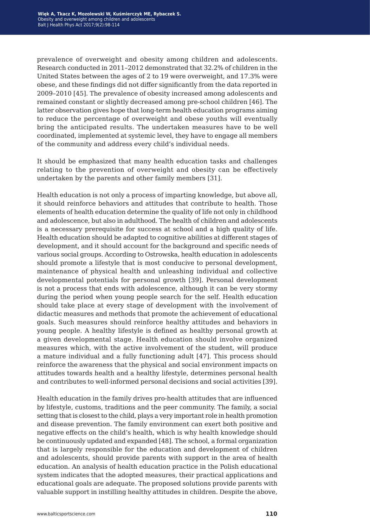prevalence of overweight and obesity among children and adolescents. Research conducted in 2011–2012 demonstrated that 32.2% of children in the United States between the ages of 2 to 19 were overweight, and 17.3% were obese, and these findings did not differ significantly from the data reported in 2009–2010 [45]. The prevalence of obesity increased among adolescents and remained constant or slightly decreased among pre-school children [46]. The latter observation gives hope that long-term health education programs aiming to reduce the percentage of overweight and obese youths will eventually bring the anticipated results. The undertaken measures have to be well coordinated, implemented at systemic level, they have to engage all members of the community and address every child's individual needs.

It should be emphasized that many health education tasks and challenges relating to the prevention of overweight and obesity can be effectively undertaken by the parents and other family members [31].

Health education is not only a process of imparting knowledge, but above all, it should reinforce behaviors and attitudes that contribute to health. Those elements of health education determine the quality of life not only in childhood and adolescence, but also in adulthood. The health of children and adolescents is a necessary prerequisite for success at school and a high quality of life. Health education should be adapted to cognitive abilities at different stages of development, and it should account for the background and specific needs of various social groups. According to Ostrowska, health education in adolescents should promote a lifestyle that is most conducive to personal development, maintenance of physical health and unleashing individual and collective developmental potentials for personal growth [39]. Personal development is not a process that ends with adolescence, although it can be very stormy during the period when young people search for the self. Health education should take place at every stage of development with the involvement of didactic measures and methods that promote the achievement of educational goals. Such measures should reinforce healthy attitudes and behaviors in young people. A healthy lifestyle is defined as healthy personal growth at a given developmental stage. Health education should involve organized measures which, with the active involvement of the student, will produce a mature individual and a fully functioning adult [47]. This process should reinforce the awareness that the physical and social environment impacts on attitudes towards health and a healthy lifestyle, determines personal health and contributes to well-informed personal decisions and social activities [39].

Health education in the family drives pro-health attitudes that are influenced by lifestyle, customs, traditions and the peer community. The family, a social setting that is closest to the child, plays a very important role in health promotion and disease prevention. The family environment can exert both positive and negative effects on the child's health, which is why health knowledge should be continuously updated and expanded [48]. The school, a formal organization that is largely responsible for the education and development of children and adolescents, should provide parents with support in the area of health education. An analysis of health education practice in the Polish educational system indicates that the adopted measures, their practical applications and educational goals are adequate. The proposed solutions provide parents with valuable support in instilling healthy attitudes in children. Despite the above,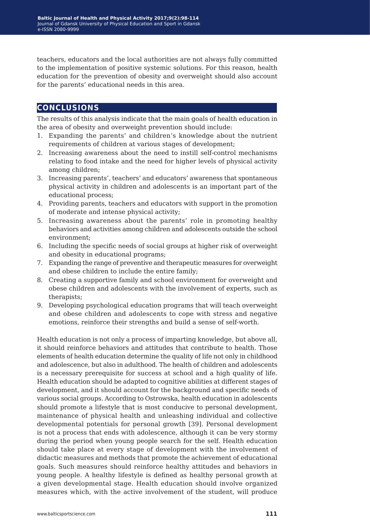teachers, educators and the local authorities are not always fully committed to the implementation of positive systemic solutions. For this reason, health education for the prevention of obesity and overweight should also account for the parents' educational needs in this area.

# **conclusions**

The results of this analysis indicate that the main goals of health education in the area of obesity and overweight prevention should include:

- 1. Expanding the parents' and children's knowledge about the nutrient requirements of children at various stages of development;
- 2. Increasing awareness about the need to instill self-control mechanisms relating to food intake and the need for higher levels of physical activity among children;
- 3. Increasing parents', teachers' and educators' awareness that spontaneous physical activity in children and adolescents is an important part of the educational process;
- 4. Providing parents, teachers and educators with support in the promotion of moderate and intense physical activity;
- 5. Increasing awareness about the parents' role in promoting healthy behaviors and activities among children and adolescents outside the school environment;
- 6. Including the specific needs of social groups at higher risk of overweight and obesity in educational programs;
- 7. Expanding the range of preventive and therapeutic measures for overweight and obese children to include the entire family;
- 8. Creating a supportive family and school environment for overweight and obese children and adolescents with the involvement of experts, such as therapists;
- 9. Developing psychological education programs that will teach overweight and obese children and adolescents to cope with stress and negative emotions, reinforce their strengths and build a sense of self-worth.

Health education is not only a process of imparting knowledge, but above all, it should reinforce behaviors and attitudes that contribute to health. Those elements of health education determine the quality of life not only in childhood and adolescence, but also in adulthood. The health of children and adolescents is a necessary prerequisite for success at school and a high quality of life. Health education should be adapted to cognitive abilities at different stages of development, and it should account for the background and specific needs of various social groups. According to Ostrowska, health education in adolescents should promote a lifestyle that is most conducive to personal development, maintenance of physical health and unleashing individual and collective developmental potentials for personal growth [39]. Personal development is not a process that ends with adolescence, although it can be very stormy during the period when young people search for the self. Health education should take place at every stage of development with the involvement of didactic measures and methods that promote the achievement of educational goals. Such measures should reinforce healthy attitudes and behaviors in young people. A healthy lifestyle is defined as healthy personal growth at a given developmental stage. Health education should involve organized measures which, with the active involvement of the student, will produce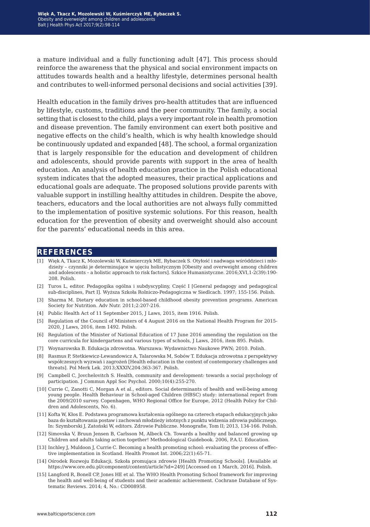a mature individual and a fully functioning adult [47]. This process should reinforce the awareness that the physical and social environment impacts on attitudes towards health and a healthy lifestyle, determines personal health and contributes to well-informed personal decisions and social activities [39].

Health education in the family drives pro-health attitudes that are influenced by lifestyle, customs, traditions and the peer community. The family, a social setting that is closest to the child, plays a very important role in health promotion and disease prevention. The family environment can exert both positive and negative effects on the child's health, which is why health knowledge should be continuously updated and expanded [48]. The school, a formal organization that is largely responsible for the education and development of children and adolescents, should provide parents with support in the area of health education. An analysis of health education practice in the Polish educational system indicates that the adopted measures, their practical applications and educational goals are adequate. The proposed solutions provide parents with valuable support in instilling healthy attitudes in children. Despite the above, teachers, educators and the local authorities are not always fully committed to the implementation of positive systemic solutions. For this reason, health education for the prevention of obesity and overweight should also account for the parents' educational needs in this area.

## **references**

- [1] Więk A, Tkacz K, Mozolewski W, Kuśmierczyk ME, Rybaczek S. Otyłość i nadwaga wśróddzieci i młodzieży – czynniki je determinujące w ujęciu holistycznym [Obesity and overweight among children and adolescents – a holistic approach to risk factors]. Szkice Humanistyczne. 2016;XVI,1-2(39):190- 208. Polish.
- [2] Turos L, editor. Pedagogika ogólna i subdyscypliny, Część I [General pedagogy and pedagogical sub-disciplines, Part I]. Wyższa Szkoła Rolniczo-Pedagogiczna w Siedlcach. 1997; 155-156. Polish.
- [3] Sharma M. Dietary education in school-based childhood obesity prevention programs. American Society for Nutrition. Adv Nutr. 2011;2:207-216.
- [4] Public Health Act of 11 September 2015, J Laws, 2015, item 1916. Polish.
- [5] Regulation of the Council of Ministers of 4 August 2016 on the National Health Program for 2015- 2020, J Laws, 2016, item 1492. Polish.
- [6] Regulation of the Minister of National Education of 17 June 2016 amending the regulation on the core curricula for kindergartens and various types of schools, J Laws, 2016, item 895. Polish.
- [7] Woynarowska B. Edukacja zdrowotna. Warszawa: Wydawnictwo Naukowe PWN; 2010. Polish.
- [8] Rasmus P, Stetkiewicz-Lewandowicz A, Talarowska M, Sobów T. Edukacja zdrowotna z perspektywy współczesnych wyzwań i zagrożeń [Health education in the context of contemporary challenges and threats]. Pol Merk Lek. 2013;XXXIV,204:363-367. Polish.
- [9] Campbell C, Jovchelovitch S. Health, community and development: towards a social psychology of participation. J Commun Appl Soc Psychol. 2000;10(4):255-270.
- [10] Currie C, Zanotti C, Morgan A et al., editors. Social determinants of health and well-being among young people. Health Behaviour in School-aged Children (HBSC) study: international report from the 2009/2010 survey. Copenhagen, WHO Regional Office for Europe, 2012 (Health Policy for Children and Adolescents, No. 6).
- [11] Kofta W, Kłos E. Podstawa programowa kształcenia ogólnego na czterech etapach edukacyjnych jako baza do kształtowania postaw i zachowań młodzieży istotnych z punktu widzenia zdrowia publicznego. In: Szymborski J, Zatoński W, editors. Zdrowie Publiczne. Monografie, Tom II; 2013, 134-166. Polish.
- [12] Simovska V, Bruun Jensen B, Carlsson M, Albeck Ch. Towards a healthy and balanced growing up Children and adults taking action together! Methodological Guidebook. 2006, P.A.U. Education.
- [13] Inchley J, Muldoon J, Currie C. Becoming a health promoting school: evaluating the process of effective implementation in Scotland. Health Promot Int. 2006;22(1):65-71.
- [14] Ośrodek Rozwoju Edukacji, Szkoła promująca zdrowie [Health Promoting Schools]. [Available at https://www.ore.edu.pl/component/content/article?id=249] [Accessed on 1 March, 2016]. Polish.
- [15] Langford R, Bonell CP, Jones HE et al. The WHO Health Promoting School framework for improving the health and well-being of students and their academic achievement. Cochrane Database of Systematic Reviews. 2014; 4, No.: CD008958.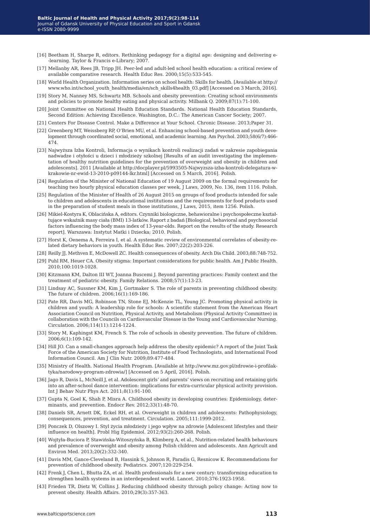- [16] Beetham H, Sharpe R, editors. Rethinking pedagogy for a digital age: designing and delivering e- -learning. Taylor & Francis e-Library; 2007.
- [17] Mellanby AR, Rees JB, Tripp JH. Peer-led and adult-led school health education: a critical review of available comparative research. Health Educ Res. 2000;15(5):533-545.
- [18] World Health Organization. Information series on school health: Skills for health. [Available at http:// www.who.int/school\_youth\_health/media/en/sch\_skills4health\_03.pdf] [Accessed on 3 March, 2016].
- [19] Story M, Nanney MS, Schwartz MB. Schools and obesity prevention: Creating school environments and policies to promote healthy eating and physical activity. Milbank Q. 2009;87(1):71-100.
- [20] Joint Committee on National Health Education Standards. National Health Education Standards, Second Edition: Achieving Excellence. Washington, D.C.: The American Cancer Society; 2007.
- [21] Centers For Disease Control. Make a Difference at Your School. Chronic Disease. 2013;Paper 31.
- [22] Greenberg MT, Weissberg RP, O'Brien MU, et al. Enhancing school-based prevention and youth development through coordinated social, emotional, and academic learning. Am Psychol. 2003;58(6/7):466- 474.
- [23] Najwyższa Izba Kontroli, Informacja o wynikach kontroli realizacji zadań w zakresie zapobiegania nadwadze i otyłości u dzieci i młodzieży szkolnej [Results of an audit investigating the implementation of healthy nutrition guidelines for the prevention of overweight and obesity in children and adolescents]. 2011 [Available at http://docplayer.pl/5993505-Najwyzsza-izba-kontroli-delegatura-wkrakowie-nr-ewid-13-2010-p09144-lkr.html] [Accessed on 5 March, 2016]. Polish.
- [24] Regulation of the Minister of National Education of 19 August 2009 on the formal requirements for teaching two hourly physical education classes per week, J Laws, 2009, No. 136, item 1116. Polish.
- [25] Regulation of the Minister of Health of 26 August 2015 on groups of food products intended for sale to children and adolescents in educational institutions and the requirements for food products used in the preparation of student meals in those institutions, J Laws, 2015, item 1256. Polish.
- [26] Mikiel-Kostyra K, Oblacińska A, editors. Czynniki biologiczne, behawioralne i psychospołeczne kształtujące wskaźnik masy ciała (BMI) 13-latków. Raport z badań [Biological, behavioral and psychosocial factors influencing the body mass index of 13-year-olds. Report on the results of the study. Research report]. Warszawa: Instytut Matki i Dziecka; 2010. Polish.
- [27] Horst K, Oenema A, Ferreira I, et al. A systematic review of environmental correlates of obesity-related dietary behaviors in youth. Health Educ Res. 2007;22(2):203-226.
- [28] Reilly JJ, Methven E, McDowell ZC. Health consequences of obesity. Arch Dis Child. 2003;88:748-752.
- [29] Puhl RM, Heuer CA. Obesity stigma: Important considerations for public health. Am J Public Health. 2010;100:1019-1028.
- [30] Kitzmann KM, Dalton III WT, Joanna Buscemi J. Beyond parenting practices: Family context and the treatment of pediatric obesity. Family Relations. 2008;57(1):13-23.
- [31] Lindsay AC, Sussner KM, Kim J, Gortmaker S. The role of parents in preventing childhood obesity. The future of children. 2006;16(1):169-186.
- [32] Pate RR, Davis MG, Robinson TN, Stone EJ, McKenzie TL, Young JC. Promoting physical activity in children and youth: A leadership role for schools: A scientific statement from the American Heart Association Council on Nutrition, Physical Activity, and Metabolism (Physical Activity Committee) in collaboration with the Councils on Cardiovascular Disease in the Young and Cardiovascular Nursing. Circulation. 2006;114(11):1214-1224.
- [33] Story M, Kaphingst KM, French S. The role of schools in obesity prevention. The future of children. 2006;6(1):109-142.
- [34] Hill JO. Can a small-changes approach help address the obesity epidemic? A report of the Joint Task Force of the American Society for Nutrition, Institute of Food Technologists, and International Food Information Council. Am J Clin Nutr. 2009;89:477-484.
- [35] Ministry of Health. National Health Program. [Available at http://www.mz.gov.pl/zdrowie-i-profilaktyka/narodowy-program-zdrowia/] [Accessed on 5 April, 2016]. Polish.
- [36] Jago R, Davis L, McNeill J, et al. Adolescent girls' and parents' views on recruiting and retaining girls into an after-school dance intervention: implications for extra-curricular physical activity provision. Int J Behav Nutr Phys Act. 2011;8(1):91-100.
- [37] Gupta N, Goel K, Shah P, Misra A. Childhood obesity in developing countries: Epidemiology, determinants, and prevention. Endocr Rev. 2012;33(1):48-70.
- [38] Daniels SR, Arnett DK, Eckel RH, et al. Overweight in children and adolescents: Pathophysiology, consequences, prevention, and treatment. Circulation. 2005;111:1999-2012.
- [39] Ponczek D, Olszowy I. Styl życia młodzieży i jego wpływ na zdrowie [Adolescent lifestyles and their influence on health]. Probl Hig Epidemiol. 2012;93(2):260-268. Polish.
- [40] Wojtyła-Buciora P, Stawińska-Witoszyńska B, Klimberg A, et al., Nutrition-related health behaviours and prevalence of overweight and obesity among Polish children and adolescents. Ann Agricult and Environ Med. 2013;20(2):332-340.
- [41] Davis MM, Gance-Cleveland B, Hassink S, Johnson R, Paradis G, Resnicow K. Recommendations for prevention of childhood obesity. Pediatrics. 2007;120:229-254.
- [42] Frenk J, Chen L, Bhutta ZA, et al. Health professionals for a new century: transforming education to strengthen health systems in an interdependent world. Lancet. 2010;376:1923-1958.
- [43] Frieden TR, Dietz W, Collins J. Reducing childhood obesity through policy change: Acting now to prevent obesity. Health Affairs. 2010;29(3):357-363.